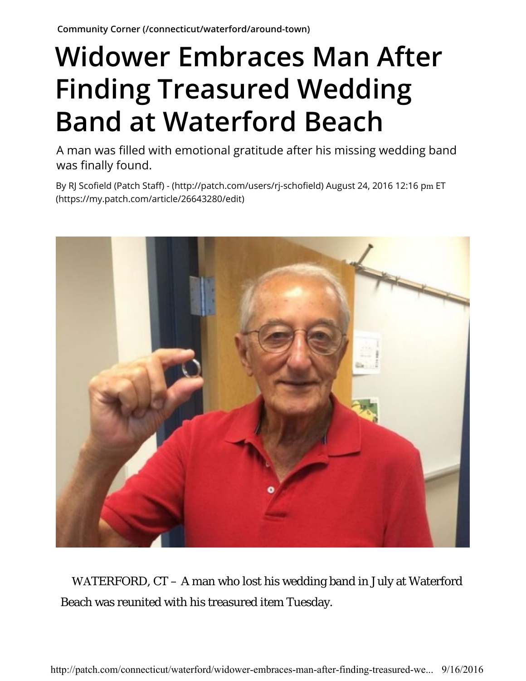## **Widower Embraces Man After Finding Treasured Wedding Band at Waterford Beach**

A man was filled with emotional gratitude after his missing wedding band was finally found.

By RJ Scofield (Patch Staff) - (http://patch.com/users/rj-schofield) August 24, 2016 12:16 pm ET (https://my.patch.com/article/26643280/edit)



WATERFORD, CT – A man who lost his wedding band in July at Waterford Beach was reunited with his treasured item Tuesday.